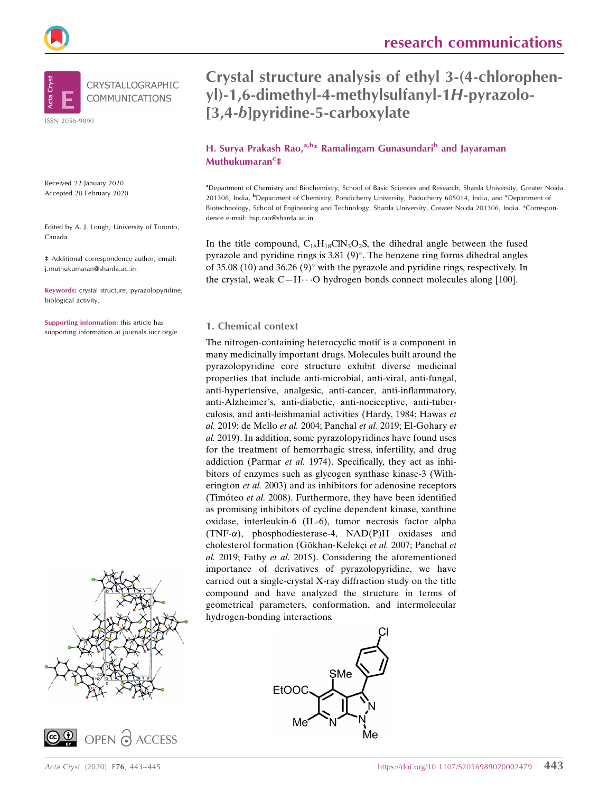



Received 22 January 2020 Accepted 20 February 2020

Edited by A. J. Lough, University of Toronto, Canada

‡ Additional correspondence author, email: i.muthukumaran@sharda.ac.in.

Keywords: crystal structure; pyrazolopyridine; biological activity.

Supporting information: this article has supporting information at journals.iucr.org/e





## Crystal structure analysis of ethyl 3-(4-chlorophenyl)-1,6-dimethyl-4-methylsulfanyl-1H-pyrazolo- [3,4-b]pyridine-5-carboxylate

### H. Surya Prakash Rao, $a,b*$  Ramalingam Gunasundari<sup>b</sup> and Jayaraman Muthukumaran<sup>c</sup>‡

a Department of Chemistry and Biochemistry, School of Basic Sciences and Research, Sharda University, Greater Noida 201306, India, <sup>b</sup>Department of Chemistry, Pondicherry University, Puducherry 605014, India, and <sup>c</sup>Department of Biotechnology, School of Engineering and Technology, Sharda University, Greater Noida 201306, India. \*Correspondence e-mail: hsp.rao@sharda.ac.in

In the title compound,  $C_{18}H_{18}C_{18}O_2S$ , the dihedral angle between the fused pyrazole and pyridine rings is  $3.81 (9)^\circ$ . The benzene ring forms dihedral angles of 35.08 (10) and 36.26 (9) $^{\circ}$  with the pyrazole and pyridine rings, respectively. In the crystal, weak  $C-H \cdots O$  hydrogen bonds connect molecules along [100].

#### 1. Chemical context

The nitrogen-containing heterocyclic motif is a component in many medicinally important drugs. Molecules built around the pyrazolopyridine core structure exhibit diverse medicinal properties that include anti-microbial, anti-viral, anti-fungal, anti-hypertensive, analgesic, anti-cancer, anti-inflammatory, anti-Alzheimer's, anti-diabetic, anti-nociceptive, anti-tuberculosis, and anti-leishmanial activities (Hardy, 1984; Hawas et al. 2019; de Mello et al. 2004; Panchal et al. 2019; El-Gohary et al. 2019). In addition, some pyrazolopyridines have found uses for the treatment of hemorrhagic stress, infertility, and drug addiction (Parmar et al. 1974). Specifically, they act as inhibitors of enzymes such as glycogen synthase kinase-3 (Witherington et al. 2003) and as inhibitors for adenosine receptors (Timóteo et al. 2008). Furthermore, they have been identified as promising inhibitors of cycline dependent kinase, xanthine oxidase, interleukin-6 (IL-6), tumor necrosis factor alpha  $(TNF-\alpha)$ , phosphodiesterase-4, NAD(P)H oxidases and cholesterol formation (Gökhan-Kelekçi et al. 2007; Panchal et al. 2019; Fathy et al. 2015). Considering the aforementioned importance of derivatives of pyrazolopyridine, we have carried out a single-crystal X-ray diffraction study on the title compound and have analyzed the structure in terms of geometrical parameters, conformation, and intermolecular hydrogen-bonding interactions.

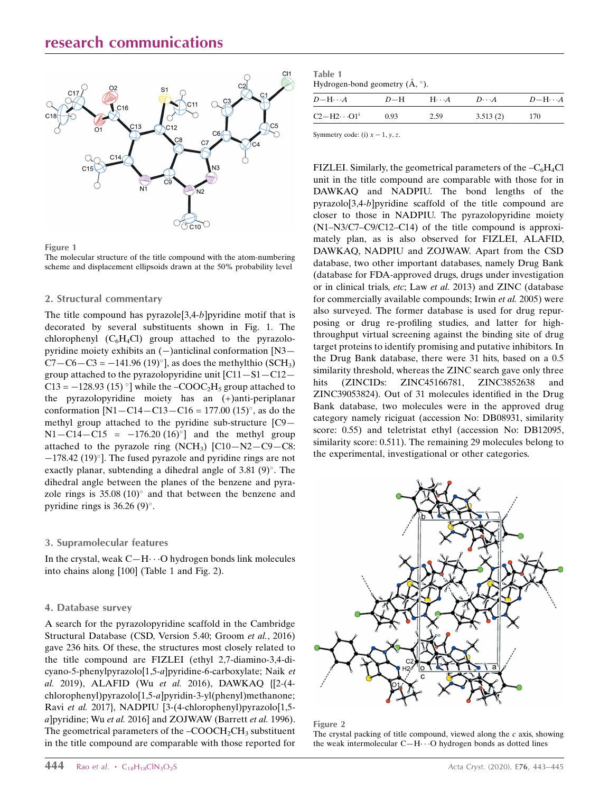

#### Figure 1

The molecular structure of the title compound with the atom-numbering scheme and displacement ellipsoids drawn at the 50% probability level

#### 2. Structural commentary

The title compound has pyrazole  $[3,4-b]$  pyridine motif that is decorated by several substituents shown in Fig. 1. The chlorophenyl  $(C_6H_4Cl)$  group attached to the pyrazolopyridine moiety exhibits an  $(-)$ anticlinal conformation [N3—  $C7 - C6 - C3 = -141.96 (19)°$ ], as does the methylthio (SCH<sub>3</sub>) group attached to the pyrazolopyridine unit  $[C11-S1-C12-$ C13 =  $-128.93$  (15) °] while the  $-COOC<sub>2</sub>H<sub>5</sub>$  group attached to the pyrazolopyridine moiety has an (+)anti-periplanar conformation  $[N1 - C14 - C13 - C16 = 177.00 (15)$ <sup>o</sup>, as do the methyl group attached to the pyridine sub-structure [C9—  $N1 - C14 - C15 = -176.20 (16)^{\circ}$  and the methyl group attached to the pyrazole ring  $(NCH_3)$   $[Cl_0-N2-C9-C8]$ :  $-178.42$  (19)°]. The fused pyrazole and pyridine rings are not exactly planar, subtending a dihedral angle of  $3.81$  (9) $^{\circ}$ . The dihedral angle between the planes of the benzene and pyrazole rings is  $35.08(10)^\circ$  and that between the benzene and pyridine rings is  $36.26(9)^\circ$ .

#### 3. Supramolecular features

In the crystal, weak  $C-H\cdots O$  hydrogen bonds link molecules into chains along [100] (Table 1 and Fig. 2).

#### 4. Database survey

A search for the pyrazolopyridine scaffold in the Cambridge Structural Database (CSD, Version 5.40; Groom et al., 2016) gave 236 hits. Of these, the structures most closely related to the title compound are FIZLEI (ethyl 2,7-diamino-3,4-dicyano-5-phenylpyrazolo[1,5-a]pyridine-6-carboxylate; Naik et al. 2019), ALAFID (Wu et al. 2016), DAWKAQ {[2-(4 chlorophenyl)pyrazolo[1,5-a]pyridin-3-yl(phenyl)methanone; Ravi et al. 2017}, NADPIU [3-(4-chlorophenyl)pyrazolo[1,5 a]pyridine; Wu et al. 2016] and ZOJWAW (Barrett et al. 1996). The geometrical parameters of the  $-COOCH<sub>2</sub>CH<sub>3</sub>$  substituent in the title compound are comparable with those reported for

| Table 1                                            |  |
|----------------------------------------------------|--|
| Hydrogen-bond geometry $(\mathring{A}, \degree)$ . |  |

| $D-\mathrm{H}\cdots A$           | $D-H$ | $H\cdots A$ | $D\cdots A$ | $D-\mathrm{H}\cdots A$ |
|----------------------------------|-------|-------------|-------------|------------------------|
| $C2 - H2 \cdot \cdot \cdot O1^i$ | 0.93  | 2.59        | 3.513(2)    | 170                    |

Symmetry code: (i)  $x - 1$ , v, z.

FIZLEI. Similarly, the geometrical parameters of the  $-C_6H_4Cl$ unit in the title compound are comparable with those for in DAWKAQ and NADPIU. The bond lengths of the pyrazolo[3,4-b]pyridine scaffold of the title compound are closer to those in NADPIU. The pyrazolopyridine moiety (N1–N3/C7–C9/C12–C14) of the title compound is approximately plan, as is also observed for FIZLEI, ALAFID, DAWKAQ, NADPIU and ZOJWAW. Apart from the CSD database, two other important databases, namely Drug Bank (database for FDA-approved drugs, drugs under investigation or in clinical trials, etc; Law et al. 2013) and ZINC (database for commercially available compounds; Irwin et al. 2005) were also surveyed. The former database is used for drug repurposing or drug re-profiling studies, and latter for highthroughput virtual screening against the binding site of drug target proteins to identify promising and putative inhibitors. In the Drug Bank database, there were 31 hits, based on a 0.5 similarity threshold, whereas the ZINC search gave only three hits (ZINCIDs: ZINC45166781, ZINC3852638 and ZINC39053824). Out of 31 molecules identified in the Drug Bank database, two molecules were in the approved drug category namely riciguat (accession No: DB08931, similarity score: 0.55) and teletristat ethyl (accession No: DB12095, similarity score: 0.511). The remaining 29 molecules belong to the experimental, investigational or other categories.



Figure 2

The crystal packing of title compound, viewed along the  $c$  axis, showing the weak intermolecular  $C-H\cdots O$  hydrogen bonds as dotted lines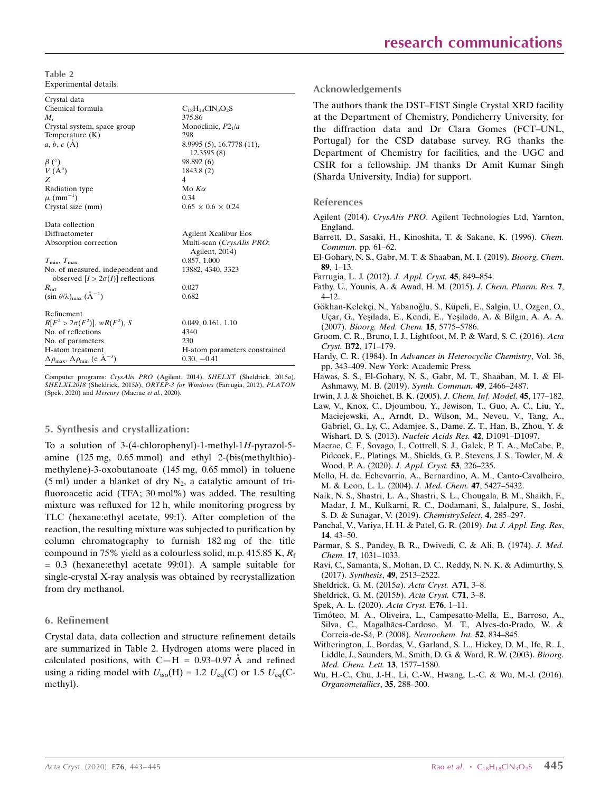Table 2 Experimental details.

Crystal data Chemical formula  $C_{18}H_{18}CIN_3O_2S$ <br> $M$  375.86  $M_{\rm r}$  375.86 Crystal system, space group Monoclinic,  $P2_1/a$ <br>Temperature  $(K)$  298 Temperature (K)<br> $a, b, c$  (Å) 8.9995 (5), 16.7778 (11), 12.3595 (8)  $\beta$  (°) ) 98.892 (6)  $V(\AA^3)$ <br>Z ) 1843.8 (2)  $Z \qquad \qquad 4$ Radiation type  $Mod(x)$  Mo  $K\alpha$  $\mu$  (mm<sup>-1</sup>)  $(0.34)$ Crystal size (mm)  $0.65 \times 0.6 \times 0.24$ Data collection Diffractometer Agilent Xcalibur Eos Absorption correction Multi-scan (CrysAlis PRO; Agilent, 2014)  $T_{\text{min}}$ ,  $T_{\text{max}}$  0.857, 1.000 No. of measured, independent and observed  $[I > 2\sigma(I)]$  reflections  $R_{int}$ 13882, 4340, 3323  $R_{\text{int}}$  0.027  $(\sin \theta/\lambda)_{\text{max}}$   $(\text{\AA}^{-1})$ ) 0.682 Refinement  $R[F^2 > 2\sigma(F^2)], wR(F^2)$ 0.049, 0.161, 1.10 No. of reflections 4340<br>No. of parameters 230 No. of parameters H-atom treatment H-atom parameters constrained  $\Delta\rho_{\text{max}}$ ,  $\Delta\rho_{\text{min}}$  (e  $\rm \AA^{-3}$  $0.30, -0.41$ 

Computer programs: CrysAlis PRO (Agilent, 2014), SHELXT (Sheldrick, 2015a), SHELXL2018 (Sheldrick, 2015b), ORTEP-3 for Windows (Farrugia, 2012), PLATON (Spek, 2020) and Mercury (Macrae et al., 2020).

#### 5. Synthesis and crystallization:

To a solution of 3-(4-chlorophenyl)-1-methyl-1H-pyrazol-5 amine (125 mg, 0.65 mmol) and ethyl 2-(bis(methylthio) methylene)-3-oxobutanoate (145 mg, 0.65 mmol) in toluene (5 ml) under a blanket of dry  $N_2$ , a catalytic amount of trifluoroacetic acid (TFA; 30 mol%) was added. The resulting mixture was refluxed for 12 h, while monitoring progress by TLC (hexane:ethyl acetate, 99:1). After completion of the reaction, the resulting mixture was subjected to purification by column chromatography to furnish 182 mg of the title compound in 75% yield as a colourless solid, m.p. 415.85 K,  $R_f$ = 0.3 (hexane:ethyl acetate 99:01). A sample suitable for single-crystal X-ray analysis was obtained by recrystallization from dry methanol.

#### 6. Refinement

Crystal data, data collection and structure refinement details are summarized in Table 2. Hydrogen atoms were placed in calculated positions, with C-H =  $0.93-0.97$  Å and refined using a riding model with  $U_{\text{iso}}(H) = 1.2 U_{\text{eq}}(C)$  or 1.5  $U_{\text{eq}}(C)$ methyl).

#### Acknowledgements

The authors thank the DST–FIST Single Crystal XRD facility at the Department of Chemistry, Pondicherry University, for the diffraction data and Dr Clara Gomes (FCT–UNL, Portugal) for the CSD database survey. RG thanks the Department of Chemistry for facilities, and the UGC and CSIR for a fellowship. JM thanks Dr Amit Kumar Singh (Sharda University, India) for support.

#### References

- Agilent (2014). CrysAlis PRO[. Agilent Technologies Ltd, Yarnton,](http://scripts.iucr.org/cgi-bin/cr.cgi?rm=pdfbb&cnor=lh5946&bbid=BB1) [England.](http://scripts.iucr.org/cgi-bin/cr.cgi?rm=pdfbb&cnor=lh5946&bbid=BB1)
- [Barrett, D., Sasaki, H., Kinoshita, T. & Sakane, K. \(1996\).](http://scripts.iucr.org/cgi-bin/cr.cgi?rm=pdfbb&cnor=lh5946&bbid=BB2) Chem. Commun. [pp. 61–62.](http://scripts.iucr.org/cgi-bin/cr.cgi?rm=pdfbb&cnor=lh5946&bbid=BB2)
- [El-Gohary, N. S., Gabr, M. T. & Shaaban, M. I. \(2019\).](http://scripts.iucr.org/cgi-bin/cr.cgi?rm=pdfbb&cnor=lh5946&bbid=BB3) Bioorg. Chem. 89[, 1–13.](http://scripts.iucr.org/cgi-bin/cr.cgi?rm=pdfbb&cnor=lh5946&bbid=BB3)
- [Farrugia, L. J. \(2012\).](http://scripts.iucr.org/cgi-bin/cr.cgi?rm=pdfbb&cnor=lh5946&bbid=BB4) J. Appl. Cryst. 45, 849–854.
- [Fathy, U., Younis, A. & Awad, H. M. \(2015\).](http://scripts.iucr.org/cgi-bin/cr.cgi?rm=pdfbb&cnor=lh5946&bbid=BB5) J. Chem. Pharm. Res. 7, [4–12.](http://scripts.iucr.org/cgi-bin/cr.cgi?rm=pdfbb&cnor=lh5946&bbid=BB5)
- Gökhan-Kelekçi, N., Yabanoğlu, S., Küpeli, E., Salgin, U., Ozgen, O., Ucar, G., Yesilada, E., Kendi, E., Yesilada, A. & Bilgin, A. A. A. (2007). [Bioorg. Med. Chem.](http://scripts.iucr.org/cgi-bin/cr.cgi?rm=pdfbb&cnor=lh5946&bbid=BB6) 15, 5775–5786.
- [Groom, C. R., Bruno, I. J., Lightfoot, M. P. & Ward, S. C. \(2016\).](http://scripts.iucr.org/cgi-bin/cr.cgi?rm=pdfbb&cnor=lh5946&bbid=BB7) Acta Cryst. B72[, 171–179.](http://scripts.iucr.org/cgi-bin/cr.cgi?rm=pdfbb&cnor=lh5946&bbid=BB7)
- Hardy, C. R. (1984). In [Advances in Heterocyclic Chemistry](http://scripts.iucr.org/cgi-bin/cr.cgi?rm=pdfbb&cnor=lh5946&bbid=BB8), Vol. 36, [pp. 343–409. New York: Academic Press.](http://scripts.iucr.org/cgi-bin/cr.cgi?rm=pdfbb&cnor=lh5946&bbid=BB8)
- [Hawas, S. S., El-Gohary, N. S., Gabr, M. T., Shaaban, M. I. & El-](http://scripts.iucr.org/cgi-bin/cr.cgi?rm=pdfbb&cnor=lh5946&bbid=BB9)[Ashmawy, M. B. \(2019\).](http://scripts.iucr.org/cgi-bin/cr.cgi?rm=pdfbb&cnor=lh5946&bbid=BB9) Synth. Commun. 49, 2466–2487.
- [Irwin, J. J. & Shoichet, B. K. \(2005\).](http://scripts.iucr.org/cgi-bin/cr.cgi?rm=pdfbb&cnor=lh5946&bbid=BB10) J. Chem. Inf. Model. 45, 177–182.
- [Law, V., Knox, C., Djoumbou, Y., Jewison, T., Guo, A. C., Liu, Y.,](http://scripts.iucr.org/cgi-bin/cr.cgi?rm=pdfbb&cnor=lh5946&bbid=BB11) [Maciejewski, A., Arndt, D., Wilson, M., Neveu, V., Tang, A.,](http://scripts.iucr.org/cgi-bin/cr.cgi?rm=pdfbb&cnor=lh5946&bbid=BB11) [Gabriel, G., Ly, C., Adamjee, S., Dame, Z. T., Han, B., Zhou, Y. &](http://scripts.iucr.org/cgi-bin/cr.cgi?rm=pdfbb&cnor=lh5946&bbid=BB11) [Wishart, D. S. \(2013\).](http://scripts.iucr.org/cgi-bin/cr.cgi?rm=pdfbb&cnor=lh5946&bbid=BB11) Nucleic Acids Res. 42, D1091–D1097.
- [Macrae, C. F., Sovago, I., Cottrell, S. J., Galek, P. T. A., McCabe, P.,](http://scripts.iucr.org/cgi-bin/cr.cgi?rm=pdfbb&cnor=lh5946&bbid=BB12) [Pidcock, E., Platings, M., Shields, G. P., Stevens, J. S., Towler, M. &](http://scripts.iucr.org/cgi-bin/cr.cgi?rm=pdfbb&cnor=lh5946&bbid=BB12) [Wood, P. A. \(2020\).](http://scripts.iucr.org/cgi-bin/cr.cgi?rm=pdfbb&cnor=lh5946&bbid=BB12) J. Appl. Cryst. 53, 226–235.
- [Mello, H. de, Echevarria, A., Bernardino, A. M., Canto-Cavalheiro,](http://scripts.iucr.org/cgi-bin/cr.cgi?rm=pdfbb&cnor=lh5946&bbid=BB13) [M. & Leon, L. L. \(2004\).](http://scripts.iucr.org/cgi-bin/cr.cgi?rm=pdfbb&cnor=lh5946&bbid=BB13) J. Med. Chem. 47, 5427–5432.
- [Naik, N. S., Shastri, L. A., Shastri, S. L., Chougala, B. M., Shaikh, F.,](http://scripts.iucr.org/cgi-bin/cr.cgi?rm=pdfbb&cnor=lh5946&bbid=BB14) [Madar, J. M., Kulkarni, R. C., Dodamani, S., Jalalpure, S., Joshi,](http://scripts.iucr.org/cgi-bin/cr.cgi?rm=pdfbb&cnor=lh5946&bbid=BB14) [S. D. & Sunagar, V. \(2019\).](http://scripts.iucr.org/cgi-bin/cr.cgi?rm=pdfbb&cnor=lh5946&bbid=BB14) ChemistrySelect, 4, 285–297.
- [Panchal, V., Variya, H. H. & Patel, G. R. \(2019\).](http://scripts.iucr.org/cgi-bin/cr.cgi?rm=pdfbb&cnor=lh5946&bbid=BB16) Int. J. Appl. Eng. Res, 14[, 43–50.](http://scripts.iucr.org/cgi-bin/cr.cgi?rm=pdfbb&cnor=lh5946&bbid=BB16)
- [Parmar, S. S., Pandey, B. R., Dwivedi, C. & Ali, B. \(1974\).](http://scripts.iucr.org/cgi-bin/cr.cgi?rm=pdfbb&cnor=lh5946&bbid=BB17) J. Med. Chem. 17[, 1031–1033.](http://scripts.iucr.org/cgi-bin/cr.cgi?rm=pdfbb&cnor=lh5946&bbid=BB17)
- [Ravi, C., Samanta, S., Mohan, D. C., Reddy, N. N. K. & Adimurthy, S.](http://scripts.iucr.org/cgi-bin/cr.cgi?rm=pdfbb&cnor=lh5946&bbid=BB18) (2017). Synthesis, 49[, 2513–2522.](http://scripts.iucr.org/cgi-bin/cr.cgi?rm=pdfbb&cnor=lh5946&bbid=BB18)
- [Sheldrick, G. M. \(2015](http://scripts.iucr.org/cgi-bin/cr.cgi?rm=pdfbb&cnor=lh5946&bbid=BB19)a). Acta Cryst. A71, 3–8.
- [Sheldrick, G. M. \(2015](http://scripts.iucr.org/cgi-bin/cr.cgi?rm=pdfbb&cnor=lh5946&bbid=BB20)b). Acta Cryst. C71, 3–8.
- [Spek, A. L. \(2020\).](http://scripts.iucr.org/cgi-bin/cr.cgi?rm=pdfbb&cnor=lh5946&bbid=BB21) Acta Cryst. E76, 1–11.
- [Timo´teo, M. A., Oliveira, L., Campesatto-Mella, E., Barroso, A.,](http://scripts.iucr.org/cgi-bin/cr.cgi?rm=pdfbb&cnor=lh5946&bbid=BB22) Silva, C., Magalhães-Cardoso, M. T., Alves-do-Prado, W. & [Correia-de-Sa´, P. \(2008\).](http://scripts.iucr.org/cgi-bin/cr.cgi?rm=pdfbb&cnor=lh5946&bbid=BB22) Neurochem. Int. 52, 834–845.
- [Witherington, J., Bordas, V., Garland, S. L., Hickey, D. M., Ife, R. J.,](http://scripts.iucr.org/cgi-bin/cr.cgi?rm=pdfbb&cnor=lh5946&bbid=BB23) [Liddle, J., Saunders, M., Smith, D. G. & Ward, R. W. \(2003\).](http://scripts.iucr.org/cgi-bin/cr.cgi?rm=pdfbb&cnor=lh5946&bbid=BB23) Bioorg. [Med. Chem. Lett.](http://scripts.iucr.org/cgi-bin/cr.cgi?rm=pdfbb&cnor=lh5946&bbid=BB23) 13, 1577–1580.
- [Wu, H.-C., Chu, J.-H., Li, C.-W., Hwang, L.-C. & Wu, M.-J. \(2016\).](http://scripts.iucr.org/cgi-bin/cr.cgi?rm=pdfbb&cnor=lh5946&bbid=BB24) [Organometallics](http://scripts.iucr.org/cgi-bin/cr.cgi?rm=pdfbb&cnor=lh5946&bbid=BB24), 35, 288–300.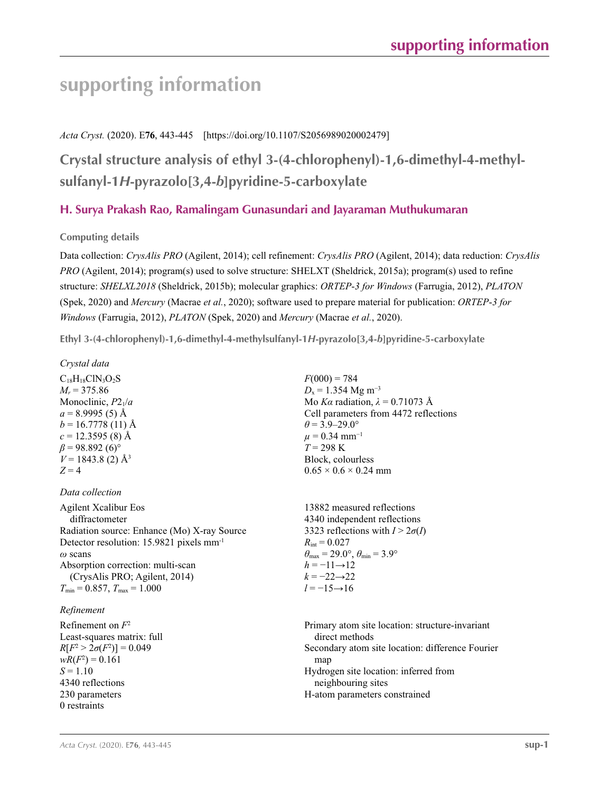## **supporting information**

### *Acta Cryst.* (2020). E**76**, 443-445 [https://doi.org/10.1107/S2056989020002479]

**Crystal structure analysis of ethyl 3-(4-chlorophenyl)-1,6-dimethyl-4-methylsulfanyl-1***H***-pyrazolo[3,4-***b***]pyridine-5-carboxylate**

## **H. Surya Prakash Rao, Ramalingam Gunasundari and Jayaraman Muthukumaran**

**Computing details** 

Data collection: *CrysAlis PRO* (Agilent, 2014); cell refinement: *CrysAlis PRO* (Agilent, 2014); data reduction: *CrysAlis PRO* (Agilent, 2014); program(s) used to solve structure: SHELXT (Sheldrick, 2015a); program(s) used to refine structure: *SHELXL2018* (Sheldrick, 2015b); molecular graphics: *ORTEP*-*3 for Windows* (Farrugia, 2012), *PLATON* (Spek, 2020) and *Mercury* (Macrae *et al.*, 2020); software used to prepare material for publication: *ORTEP*-*3 for Windows* (Farrugia, 2012), *PLATON* (Spek, 2020) and *Mercury* (Macrae *et al.*, 2020).

**Ethyl 3-(4-chlorophenyl)-1,6-dimethyl-4-methylsulfanyl-1***H***-pyrazolo[3,4-***b***]pyridine-5-carboxylate** 

*Crystal data*

 $C_{18}H_{18}CIN_3O_2S$  $M_r = 375.86$ Monoclinic, *P*21/*a*  $a = 8.9995(5)$  Å  $b = 16.7778(11)$  Å  $c = 12.3595$  (8) Å  $\beta$  = 98.892 (6)<sup>°</sup>  $V = 1843.8$  (2)  $\AA$ <sup>3</sup>  $Z = 4$ 

### *Data collection*

Agilent Xcalibur Eos diffractometer Radiation source: Enhance (Mo) X-ray Source Detector resolution: 15.9821 pixels mm-1 *ω* scans Absorption correction: multi-scan (CrysAlis PRO; Agilent, 2014)  $T_{\text{min}} = 0.857, T_{\text{max}} = 1.000$ 

#### *Refinement*

Refinement on *F*<sup>2</sup> Least-squares matrix: full  $R[F^2 > 2\sigma(F^2)] = 0.049$  $wR(F^2) = 0.161$  $S = 1.10$ 4340 reflections 230 parameters 0 restraints

 $F(000) = 784$  $D_x = 1.354$  Mg m<sup>-3</sup> Mo *Kα* radiation,  $\lambda = 0.71073$  Å Cell parameters from 4472 reflections  $\theta$  = 3.9–29.0°  $\mu$  = 0.34 mm<sup>-1</sup> *T* = 298 K Block, colourless  $0.65 \times 0.6 \times 0.24$  mm

13882 measured reflections 4340 independent reflections 3323 reflections with  $I > 2\sigma(I)$  $R_{\text{int}} = 0.027$  $\theta_{\text{max}} = 29.0^{\circ}, \theta_{\text{min}} = 3.9^{\circ}$  $h = -11 \rightarrow 12$  $k = -22 \rightarrow 22$ *l* = −15→16

Primary atom site location: structure-invariant direct methods Secondary atom site location: difference Fourier map Hydrogen site location: inferred from neighbouring sites H-atom parameters constrained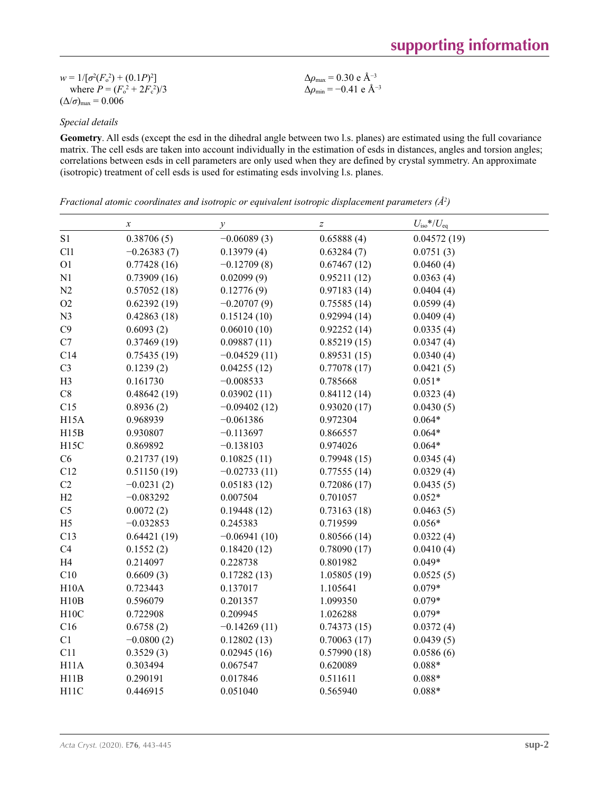| $w = 1/[\sigma^2(F_0^2) + (0.1P)^2]$   | $\Delta\rho_{\rm max}$ = 0.30 e Å <sup>-3</sup>  |
|----------------------------------------|--------------------------------------------------|
| where $P = (F_0^2 + 2F_c^2)/3$         | $\Delta\rho_{\rm min}$ = -0.41 e Å <sup>-3</sup> |
| $(\Delta/\sigma)_{\text{max}} = 0.006$ |                                                  |

## *Special details*

**Geometry**. All esds (except the esd in the dihedral angle between two l.s. planes) are estimated using the full covariance matrix. The cell esds are taken into account individually in the estimation of esds in distances, angles and torsion angles; correlations between esds in cell parameters are only used when they are defined by crystal symmetry. An approximate (isotropic) treatment of cell esds is used for estimating esds involving l.s. planes.

*Fractional atomic coordinates and isotropic or equivalent isotropic displacement parameters (Å<sup>2</sup>)* 

|                   | $\boldsymbol{x}$ | $\mathcal{Y}$  | $\boldsymbol{Z}$ | $U_{\text{iso}}$ */ $U_{\text{eq}}$ |  |
|-------------------|------------------|----------------|------------------|-------------------------------------|--|
| S1                | 0.38706(5)       | $-0.06089(3)$  | 0.65888(4)       | 0.04572(19)                         |  |
| Cl1               | $-0.26383(7)$    | 0.13979(4)     | 0.63284(7)       | 0.0751(3)                           |  |
| O <sub>1</sub>    | 0.77428(16)      | $-0.12709(8)$  | 0.67467(12)      | 0.0460(4)                           |  |
| N1                | 0.73909(16)      | 0.02099(9)     | 0.95211(12)      | 0.0363(4)                           |  |
| N2                | 0.57052(18)      | 0.12776(9)     | 0.97183(14)      | 0.0404(4)                           |  |
| O2                | 0.62392(19)      | $-0.20707(9)$  | 0.75585(14)      | 0.0599(4)                           |  |
| N <sub>3</sub>    | 0.42863(18)      | 0.15124(10)    | 0.92994(14)      | 0.0409(4)                           |  |
| C9                | 0.6093(2)        | 0.06010(10)    | 0.92252(14)      | 0.0335(4)                           |  |
| C7                | 0.37469(19)      | 0.09887(11)    | 0.85219(15)      | 0.0347(4)                           |  |
| C14               | 0.75435(19)      | $-0.04529(11)$ | 0.89531(15)      | 0.0340(4)                           |  |
| C <sub>3</sub>    | 0.1239(2)        | 0.04255(12)    | 0.77078(17)      | 0.0421(5)                           |  |
| H <sub>3</sub>    | 0.161730         | $-0.008533$    | 0.785668         | $0.051*$                            |  |
| $\mbox{C}8$       | 0.48642(19)      | 0.03902(11)    | 0.84112(14)      | 0.0323(4)                           |  |
| C15               | 0.8936(2)        | $-0.09402(12)$ | 0.93020(17)      | 0.0430(5)                           |  |
| H15A              | 0.968939         | $-0.061386$    | 0.972304         | $0.064*$                            |  |
| H15B              | 0.930807         | $-0.113697$    | 0.866557         | $0.064*$                            |  |
| H <sub>15</sub> C | 0.869892         | $-0.138103$    | 0.974026         | $0.064*$                            |  |
| C6                | 0.21737(19)      | 0.10825(11)    | 0.79948(15)      | 0.0345(4)                           |  |
| C12               | 0.51150(19)      | $-0.02733(11)$ | 0.77555(14)      | 0.0329(4)                           |  |
| $\rm C2$          | $-0.0231(2)$     | 0.05183(12)    | 0.72086(17)      | 0.0435(5)                           |  |
| H2                | $-0.083292$      | 0.007504       | 0.701057         | $0.052*$                            |  |
| C <sub>5</sub>    | 0.0072(2)        | 0.19448(12)    | 0.73163(18)      | 0.0463(5)                           |  |
| H <sub>5</sub>    | $-0.032853$      | 0.245383       | 0.719599         | $0.056*$                            |  |
| C13               | 0.64421(19)      | $-0.06941(10)$ | 0.80566(14)      | 0.0322(4)                           |  |
| C4                | 0.1552(2)        | 0.18420(12)    | 0.78090(17)      | 0.0410(4)                           |  |
| H4                | 0.214097         | 0.228738       | 0.801982         | $0.049*$                            |  |
| C10               | 0.6609(3)        | 0.17282(13)    | 1.05805(19)      | 0.0525(5)                           |  |
| H10A              | 0.723443         | 0.137017       | 1.105641         | $0.079*$                            |  |
| H10B              | 0.596079         | 0.201357       | 1.099350         | $0.079*$                            |  |
| H10C              | 0.722908         | 0.209945       | 1.026288         | $0.079*$                            |  |
| C16               | 0.6758(2)        | $-0.14269(11)$ | 0.74373(15)      | 0.0372(4)                           |  |
| C1                | $-0.0800(2)$     | 0.12802(13)    | 0.70063(17)      | 0.0439(5)                           |  |
| C11               | 0.3529(3)        | 0.02945(16)    | 0.57990(18)      | 0.0586(6)                           |  |
| H11A              | 0.303494         | 0.067547       | 0.620089         | $0.088*$                            |  |
| H11B              | 0.290191         | 0.017846       | 0.511611         | $0.088*$                            |  |
| H <sub>11</sub> C | 0.446915         | 0.051040       | 0.565940         | $0.088*$                            |  |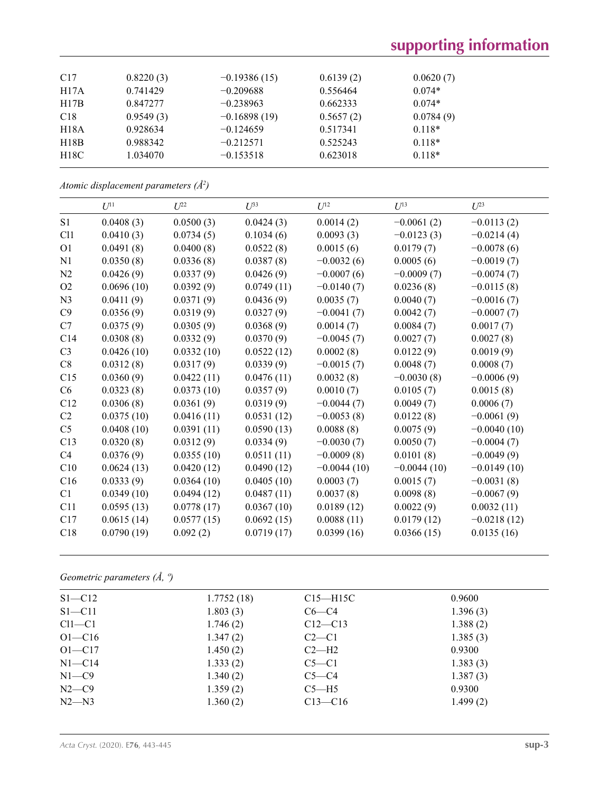## **supporting information**

| C17  | 0.8220(3) | $-0.19386(15)$ | 0.6139(2) | 0.0620(7) |
|------|-----------|----------------|-----------|-----------|
| H17A | 0.741429  | $-0.209688$    | 0.556464  | $0.074*$  |
| H17B | 0.847277  | $-0.238963$    | 0.662333  | $0.074*$  |
| C18  | 0.9549(3) | $-0.16898(19)$ | 0.5657(2) | 0.0784(9) |
| H18A | 0.928634  | $-0.124659$    | 0.517341  | $0.118*$  |
| H18B | 0.988342  | $-0.212571$    | 0.525243  | $0.118*$  |
| H18C | 1.034070  | $-0.153518$    | 0.623018  | $0.118*$  |
|      |           |                |           |           |

*Atomic displacement parameters (Å2 )*

|                 | $U^{11}$   | $I^{22}$   | $U^{33}$   | $U^{12}$      | $U^{13}$      | $U^{23}$      |
|-----------------|------------|------------|------------|---------------|---------------|---------------|
| S <sub>1</sub>  | 0.0408(3)  | 0.0500(3)  | 0.0424(3)  | 0.0014(2)     | $-0.0061(2)$  | $-0.0113(2)$  |
| C <sub>11</sub> | 0.0410(3)  | 0.0734(5)  | 0.1034(6)  | 0.0093(3)     | $-0.0123(3)$  | $-0.0214(4)$  |
| O <sub>1</sub>  | 0.0491(8)  | 0.0400(8)  | 0.0522(8)  | 0.0015(6)     | 0.0179(7)     | $-0.0078(6)$  |
| N1              | 0.0350(8)  | 0.0336(8)  | 0.0387(8)  | $-0.0032(6)$  | 0.0005(6)     | $-0.0019(7)$  |
| N2              | 0.0426(9)  | 0.0337(9)  | 0.0426(9)  | $-0.0007(6)$  | $-0.0009(7)$  | $-0.0074(7)$  |
| O <sub>2</sub>  | 0.0696(10) | 0.0392(9)  | 0.0749(11) | $-0.0140(7)$  | 0.0236(8)     | $-0.0115(8)$  |
| N <sub>3</sub>  | 0.0411(9)  | 0.0371(9)  | 0.0436(9)  | 0.0035(7)     | 0.0040(7)     | $-0.0016(7)$  |
| C9              | 0.0356(9)  | 0.0319(9)  | 0.0327(9)  | $-0.0041(7)$  | 0.0042(7)     | $-0.0007(7)$  |
| C7              | 0.0375(9)  | 0.0305(9)  | 0.0368(9)  | 0.0014(7)     | 0.0084(7)     | 0.0017(7)     |
| C14             | 0.0308(8)  | 0.0332(9)  | 0.0370(9)  | $-0.0045(7)$  | 0.0027(7)     | 0.0027(8)     |
| C <sub>3</sub>  | 0.0426(10) | 0.0332(10) | 0.0522(12) | 0.0002(8)     | 0.0122(9)     | 0.0019(9)     |
| C8              | 0.0312(8)  | 0.0317(9)  | 0.0339(9)  | $-0.0015(7)$  | 0.0048(7)     | 0.0008(7)     |
| C15             | 0.0360(9)  | 0.0422(11) | 0.0476(11) | 0.0032(8)     | $-0.0030(8)$  | $-0.0006(9)$  |
| C6              | 0.0323(8)  | 0.0373(10) | 0.0357(9)  | 0.0010(7)     | 0.0105(7)     | 0.0015(8)     |
| C12             | 0.0306(8)  | 0.0361(9)  | 0.0319(9)  | $-0.0044(7)$  | 0.0049(7)     | 0.0006(7)     |
| C <sub>2</sub>  | 0.0375(10) | 0.0416(11) | 0.0531(12) | $-0.0053(8)$  | 0.0122(8)     | $-0.0061(9)$  |
| C <sub>5</sub>  | 0.0408(10) | 0.0391(11) | 0.0590(13) | 0.0088(8)     | 0.0075(9)     | $-0.0040(10)$ |
| C13             | 0.0320(8)  | 0.0312(9)  | 0.0334(9)  | $-0.0030(7)$  | 0.0050(7)     | $-0.0004(7)$  |
| C <sub>4</sub>  | 0.0376(9)  | 0.0355(10) | 0.0511(11) | $-0.0009(8)$  | 0.0101(8)     | $-0.0049(9)$  |
| C10             | 0.0624(13) | 0.0420(12) | 0.0490(12) | $-0.0044(10)$ | $-0.0044(10)$ | $-0.0149(10)$ |
| C16             | 0.0333(9)  | 0.0364(10) | 0.0405(10) | 0.0003(7)     | 0.0015(7)     | $-0.0031(8)$  |
| C1              | 0.0349(10) | 0.0494(12) | 0.0487(11) | 0.0037(8)     | 0.0098(8)     | $-0.0067(9)$  |
| C11             | 0.0595(13) | 0.0778(17) | 0.0367(10) | 0.0189(12)    | 0.0022(9)     | 0.0032(11)    |
| C17             | 0.0615(14) | 0.0577(15) | 0.0692(15) | 0.0088(11)    | 0.0179(12)    | $-0.0218(12)$ |
| C18             | 0.0790(19) | 0.092(2)   | 0.0719(17) | 0.0399(16)    | 0.0366(15)    | 0.0135(16)    |

*Geometric parameters (Å, º)*

| $S1 - C12$ | 1.7752(18) | $C15 - H15C$ | 0.9600   |
|------------|------------|--------------|----------|
| $S1 - C11$ | 1.803(3)   | $C6-C4$      | 1.396(3) |
| $Cl1-C1$   | 1.746(2)   | $C12 - C13$  | 1.388(2) |
| $O1 - C16$ | 1.347(2)   | $C2-C1$      | 1.385(3) |
| $O1 - C17$ | 1.450(2)   | $C2-H2$      | 0.9300   |
| $N1 - C14$ | 1.333(2)   | $C5-C1$      | 1.383(3) |
| $N1 - C9$  | 1.340(2)   | $C5-C4$      | 1.387(3) |
| $N2-C9$    | 1.359(2)   | $C5-H5$      | 0.9300   |
| $N2 - N3$  | 1.360(2)   | $C13 - C16$  | 1.499(2) |
|            |            |              |          |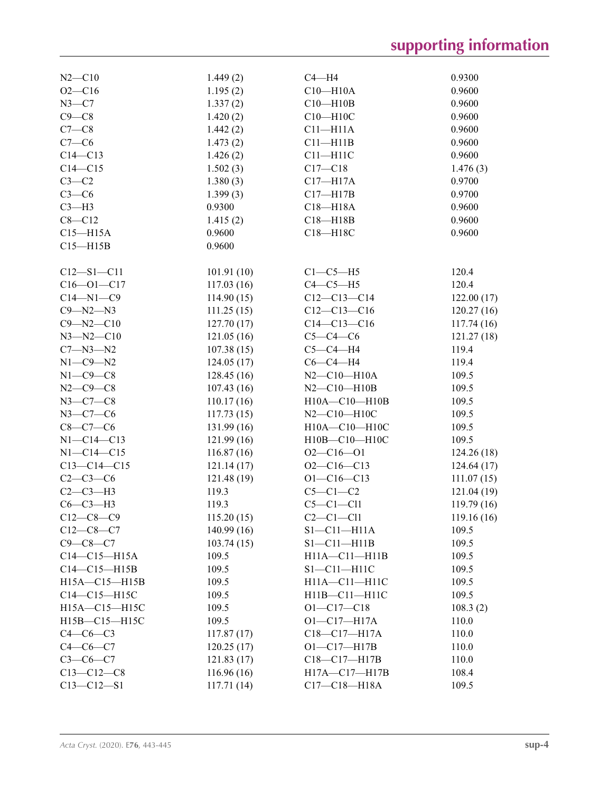# **supporting information**

| $N2 - C10$                        | 1.449(2)    | $C4 - H4$           | 0.9300      |
|-----------------------------------|-------------|---------------------|-------------|
| $O2 - C16$                        | 1.195(2)    | $C10 - H10A$        | 0.9600      |
| $N3-C7$                           | 1.337(2)    | $C10 - H10B$        | 0.9600      |
| $C9 - C8$                         | 1.420(2)    | $C10 - H10C$        | 0.9600      |
| $C7-C8$                           | 1.442(2)    | $C11 - H11A$        | 0.9600      |
| $C7-C6$                           | 1.473(2)    | $C11 - H11B$        | 0.9600      |
| $C14 - C13$                       | 1.426(2)    | $C11 - H11C$        | 0.9600      |
| $C14 - C15$                       | 1.502(3)    | $C17 - C18$         | 1.476(3)    |
| $C3-C2$                           | 1.380(3)    | $C17 - H17A$        | 0.9700      |
| $C3-C6$                           | 1.399(3)    | $C17 - H17B$        | 0.9700      |
| $C3 - H3$                         | 0.9300      | $C18 - H18A$        | 0.9600      |
| $C8 - C12$                        | 1.415(2)    | $C18 - H18B$        | 0.9600      |
| $C15 - H15A$                      | 0.9600      | C18-H18C            | 0.9600      |
| $C15 - H15B$                      | 0.9600      |                     |             |
|                                   |             |                     |             |
| $C12 - S1 - C11$                  | 101.91(10)  | $C1-C5-H5$          | 120.4       |
| $C16 - 01 - C17$                  | 117.03(16)  | $C4-C5-H5$          | 120.4       |
| $C14 - N1 - C9$                   | 114.90(15)  | $C12-C13-C14$       | 122.00(17)  |
| $C9 - N2 - N3$                    | 111.25(15)  | $C12-C13-C16$       | 120.27(16)  |
| $C9 - N2 - C10$                   | 127.70(17)  | $C14 - C13 - C16$   | 117.74(16)  |
| $N3 - N2 - C10$                   | 121.05(16)  | $C5-C4-C6$          | 121.27(18)  |
| $C7 - N3 - N2$                    | 107.38(15)  | $C5-C4-H4$          | 119.4       |
| $N1-C9-N2$                        | 124.05(17)  | $C6-C4-H4$          | 119.4       |
| $N1-C9-C8$                        | 128.45(16)  | $N2 - C10 - H10A$   | 109.5       |
| $N2 - C9 - C8$                    | 107.43(16)  | $N2 - C10 - H10B$   | 109.5       |
| $N3 - C7 - C8$                    | 110.17(16)  | H10A-C10-H10B       | 109.5       |
| $N3 - C7 - C6$                    | 117.73(15)  | $N2 - C10 - H10C$   | 109.5       |
| $C8-C7-C6$                        | 131.99(16)  | H10A-C10-H10C       | 109.5       |
| $N1 - C14 - C13$                  |             | H10B-C10-H10C       | 109.5       |
|                                   | 121.99(16)  |                     |             |
| $N1 - C14 - C15$<br>$C13-C14-C15$ | 116.87(16)  | $O2 - C16 - O1$     | 124.26(18)  |
|                                   | 121.14(17)  | $O2-C16-C13$        | 124.64(17)  |
| $C2-C3-C6$<br>$C2-C3-H3$          | 121.48 (19) | $O1 - C16 - C13$    | 111.07(15)  |
|                                   | 119.3       | $C5-C1-C2$          | 121.04(19)  |
| $C6-C3-H3$                        | 119.3       | $C5-C1-C11$         | 119.79(16)  |
| $C12-C8-C9$                       | 115.20(15)  | $C2-C1-C11$         | 119.16 (16) |
| $C12-C8-C7$                       | 140.99(16)  | $S1 - C11 - H11A$   | 109.5       |
| $C9 - C8 - C7$                    | 103.74(15)  | $S1 - C11 - H11B$   | 109.5       |
| $C14 - C15 - H15A$                | 109.5       | $H11A - C11 - H11B$ | 109.5       |
| $C14-C15-H15B$                    | 109.5       | $S1 - C11 - H11C$   | 109.5       |
| H15A-C15-H15B                     | 109.5       | H11A-C11-H11C       | 109.5       |
| $C14-C15-H15C$                    | 109.5       | H11B-C11-H11C       | 109.5       |
| H15A-C15-H15C                     | 109.5       | $O1 - C17 - C18$    | 108.3(2)    |
| H15B-C15-H15C                     | 109.5       | $O1 - C17 - H17A$   | 110.0       |
| $C4-C6-C3$                        | 117.87(17)  | C18-C17-H17A        | 110.0       |
| $C4 - C6 - C7$                    | 120.25(17)  | $O1 - C17 - H17B$   | 110.0       |
| $C3-C6-C7$                        | 121.83(17)  | $C18-C17-H17B$      | 110.0       |
| $C13 - C12 - C8$                  | 116.96(16)  | $H17A - C17 - H17B$ | 108.4       |
| $C13 - C12 - S1$                  | 117.71(14)  | $C17 - C18 - H18A$  | 109.5       |